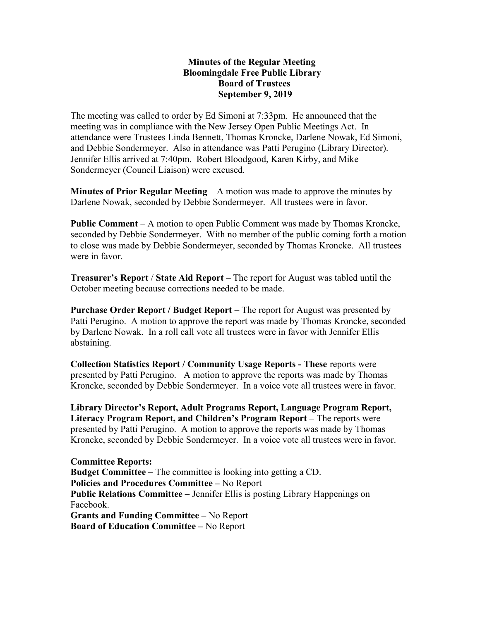## Minutes of the Regular Meeting Bloomingdale Free Public Library Board of Trustees September 9, 2019

The meeting was called to order by Ed Simoni at 7:33pm. He announced that the meeting was in compliance with the New Jersey Open Public Meetings Act. In attendance were Trustees Linda Bennett, Thomas Kroncke, Darlene Nowak, Ed Simoni, and Debbie Sondermeyer. Also in attendance was Patti Perugino (Library Director). Jennifer Ellis arrived at 7:40pm. Robert Bloodgood, Karen Kirby, and Mike Sondermeyer (Council Liaison) were excused.

**Minutes of Prior Regular Meeting – A motion was made to approve the minutes by** Darlene Nowak, seconded by Debbie Sondermeyer. All trustees were in favor.

Public Comment – A motion to open Public Comment was made by Thomas Kroncke, seconded by Debbie Sondermeyer. With no member of the public coming forth a motion to close was made by Debbie Sondermeyer, seconded by Thomas Kroncke. All trustees were in favor.

Treasurer's Report / State Aid Report – The report for August was tabled until the October meeting because corrections needed to be made.

Purchase Order Report / Budget Report – The report for August was presented by Patti Perugino. A motion to approve the report was made by Thomas Kroncke, seconded by Darlene Nowak. In a roll call vote all trustees were in favor with Jennifer Ellis abstaining.

Collection Statistics Report / Community Usage Reports - These reports were presented by Patti Perugino. A motion to approve the reports was made by Thomas Kroncke, seconded by Debbie Sondermeyer. In a voice vote all trustees were in favor.

Library Director's Report, Adult Programs Report, Language Program Report, Literacy Program Report, and Children's Program Report – The reports were presented by Patti Perugino. A motion to approve the reports was made by Thomas Kroncke, seconded by Debbie Sondermeyer. In a voice vote all trustees were in favor.

Committee Reports: Budget Committee – The committee is looking into getting a CD. Policies and Procedures Committee – No Report Public Relations Committee – Jennifer Ellis is posting Library Happenings on Facebook. Grants and Funding Committee – No Report Board of Education Committee – No Report